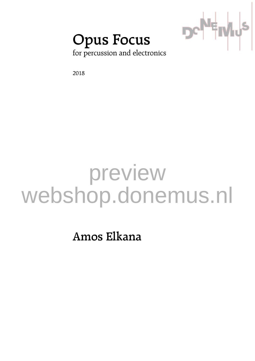

**Opus Focus** for percussion and electronics

2018

# preview webshop.donemus.nl

# **Amos Elkana**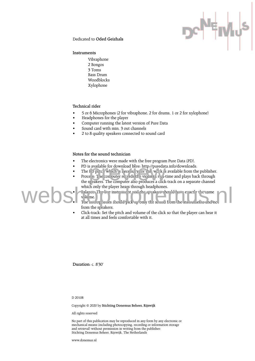

## Dedicated to **Oded Geizhals**

#### **Instruments**

 Vibraphone 2 Bongos 3 Toms Bass Drum Woodblocks Xylophone

# **Technical rider**

- 5 or 6 Microphones (2 for vibraphone, 2 for drums, 1 or 2 for xylophone)
- Headphones for the player
- Computer running the latest version of Pure Data
- Sound card with min. 3 out channels
- 2 to 8 quality speakers connected to sound card

### **Notes for the sound technician**

- The electronics were made with the free program Pure Data (PD).
- PD is available for download here: http://puredata.info/downloads.
- The I  $\bigcirc$  p, tcl which suppose is ty or this work is available from the publisher.
- Proce s: The conputer represe the violin in real-time and plays back through the speakers. The computer also produces a click-track on a separate channel which only the player hears through headphones. s available for download here: http://puredat<br>
I 2 p, tcl wh ch 3 i ece s y or i ii. w. k s<br>
e s: T ie con puter re 7 rds th 3 violin 1 r 1 1-1<br>
g eakers. The computer also produces a click

Palance:  $T$  in the instrument and the speakers should have exactly the same v lu me. which only the player hears through headphones.<br>
The microphones should pick up only the sound from the instruments and not have the instruments and not have a shown the sound from the instruments and not

- from the speakers.
- Click-track: Set the pitch and volume of the click so that the player can hear it at all times and feels comfortable with it.

**Duration**: c. 8'30'

D 20108

Copyright © 2020 by **Stichting Donemus Beheer, Rijswijk**

All rights reserved

No part of this publication may be reproduced in any form by any electronic or mechanical means (including photocopying, recording or information storage and retrieval) without permission in writing from the publisher: Stichting Donemus Beheer, Rijswijk, The Netherlands

www.donemus.nl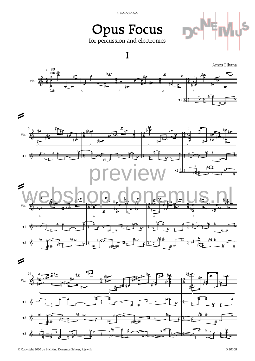*to Oded Geizhals*

 $\Gamma$  for percussion and electronics











=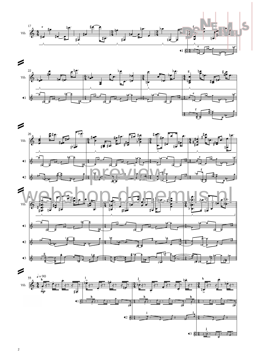







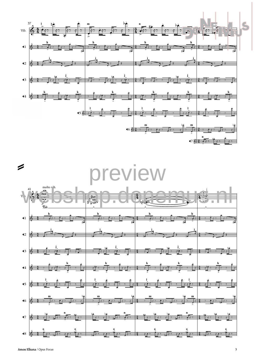

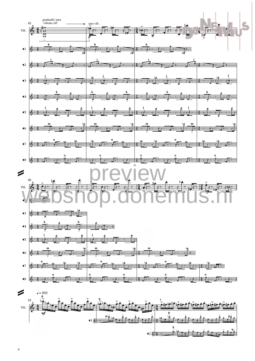